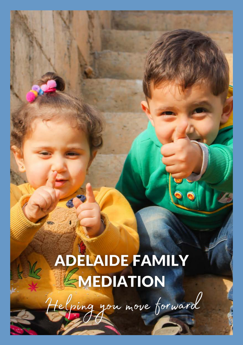# **ADELAIDE FAMILY<br>EMEDIATION**

telping you move forward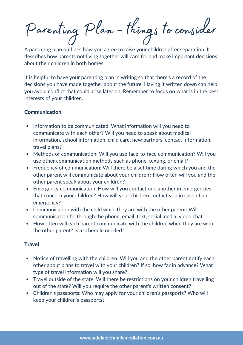Parenting Plan - things to consider

A parenting plan outlines how you agree to raise your children after separation. It describes how parents not living together will care for and make important decisions about their children in both homes.

It is helpful to have your parenting plan in writing so that there's a record of the decisions you have made together about the future. Having it written down can help you avoid conflict that could arise later on. Remember to focus on what is in the best interests of your children.

### **Communication**

- Information to be communicated: What information will you need to communicate with each other? Will you need to speak about medical information, school information, child care, new partners, contact information, travel plans?
- Methods of communication: Will you use face-to-face communication? Will you use other communication methods such as phone, texting, or email?
- Frequency of communication: Will there be a set time during which you and the other parent will communicate about your children? How often will you and the other parent speak about your children?
- Emergency communication: How will you contact one another in emergencies that concern your children? How will your children contact you in case of an emergency?
- Communication with the child while they are with the other parent: Will communication be through the phone, email, text, social media, video chat.
- How often will each parent communicate with the children when they are with the other parent? Is a schedule needed?

### **Travel**

- Notice of travelling with the children: Will you and the other parent notify each other about plans to travel with your children? If so, how far in advance? What type of travel information will you share?
- Travel outside of the state: Will there be restrictions on your children travelling out of the state? Will you require the other parent's written consent?
- Children's passports: Who may apply for your children's passports? Who will keep your children's passports?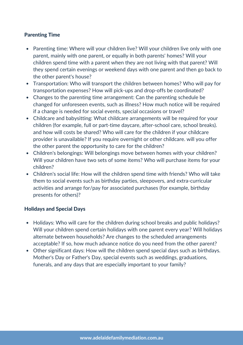## Parenting Time

- Parenting time: Where will your children live? Will your children live only with one parent, mainly with one parent, or equally in both parents' homes? Will your children spend time with a parent when they are not living with that parent? Will they spend certain evenings or weekend days with one parent and then go back to the other parent's house?
- Transportation: Who will transport the children between homes? Who will pay for transportation expenses? How will pick-ups and drop-offs be coordinated?
- Changes to the parenting time arrangement: Can the parenting schedule be changed for unforeseen events, such as illness? How much notice will be required if a change is needed for social events, special occasions or travel?
- Childcare and babysitting: What childcare arrangements will be required for your children (for example, full or part-time daycare, after-school care, school breaks). and how will costs be shared? Who will care for the children if your childcare provider is unavailable? If you require overnight or other childcare. will you offer the other parent the opportunity to care for the children?
- Children's belongings: Will belongings move between homes with your children? Will your children have two sets of some items? Who will purchase items for your children?
- Children's social life: How will the children spend time with friends? Who will take them to social events such as birthday parties, sleepovers, and extra-curricular activities and arrange for/pay for associated purchases (for example, birthday presents for others)?

### Holidays and Special Days

- Holidays: Who will care for the children during school breaks and public holidays? Will your children spend certain holidays with one parent every year? Will holidays alternate between households? Are changes to the scheduled arrangements acceptable? If so, how much advance notice do you need from the other parent?
- Other significant days: How will the children spend special days such as birthdays. Mother's Day or Father's Day, special events such as weddings, graduations, funerals, and any days that are especially important to your family?